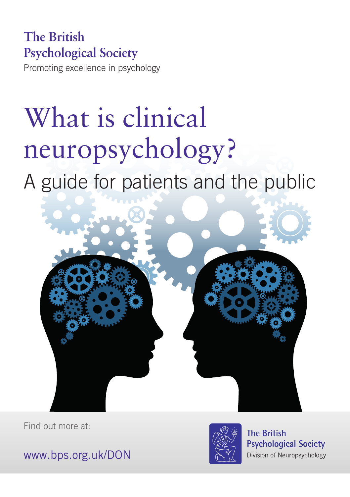## **The British Psychological Society**

Promoting excellence in psychology

# What is clinical neuropsychology?

## A guide for patients and the public



Find out more at:



**The British Psychological Society** Division of Neuropsychology

www.bps.org.uk/DON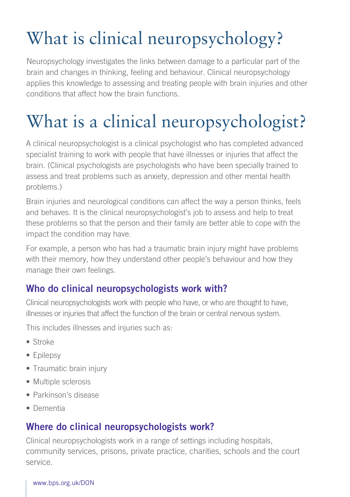## What is clinical neuropsychology?

Neuropsychology investigates the links between damage to a particular part of the brain and changes in thinking, feeling and behaviour. Clinical neuropsychology applies this knowledge to assessing and treating people with brain injuries and other conditions that affect how the brain functions.

## What is a clinical neuropsychologist?

A clinical neuropsychologist is a clinical psychologist who has completed advanced specialist training to work with people that have illnesses or injuries that affect the brain. (Clinical psychologists are psychologists who have been specially trained to assess and treat problems such as anxiety, depression and other mental health problems.)

Brain injuries and neurological conditions can affect the way a person thinks, feels and behaves. It is the clinical neuropsychologist's job to assess and help to treat these problems so that the person and their family are better able to cope with the impact the condition may have.

For example, a person who has had a traumatic brain injury might have problems with their memory, how they understand other people's behaviour and how they manage their own feelings.

## Who do clinical neuropsychologists work with?

Clinical neuropsychologists work with people who have, or who are thought to have, illnesses or injuries that affect the function of the brain or central nervous system.

This includes illnesses and injuries such as:

- Stroke
- Epilepsy
- Traumatic brain injury
- Multiple sclerosis
- Parkinson's disease
- Dementia

## Where do clinical neuropsychologists work?

Clinical neuropsychologists work in a range of settings including hospitals, community services, prisons, private practice, charities, schools and the court service.

#### www.bps.org.uk/DON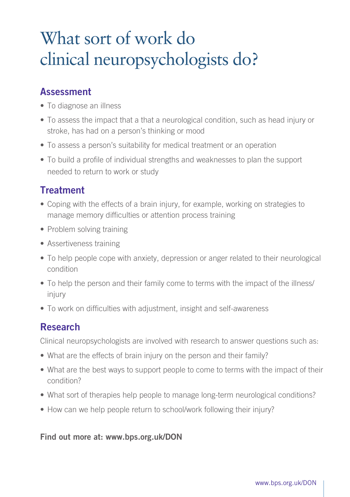## What sort of work do clinical neuropsychologists do?

### **Assessment**

- To diagnose an illness
- To assess the impact that a that a neurological condition, such as head injury or stroke, has had on a person's thinking or mood
- To assess a person's suitability for medical treatment or an operation
- To build a profile of individual strengths and weaknesses to plan the support needed to return to work or study

### **Treatment**

- Coping with the effects of a brain injury, for example, working on strategies to manage memory difficulties or attention process training
- Problem solving training
- Assertiveness training
- To help people cope with anxiety, depression or anger related to their neurological condition
- To help the person and their family come to terms with the impact of the illness/ injury
- To work on difficulties with adjustment, insight and self-awareness

### Research

Clinical neuropsychologists are involved with research to answer questions such as:

- What are the effects of brain injury on the person and their family?
- What are the best ways to support people to come to terms with the impact of their condition?
- What sort of therapies help people to manage long-term neurological conditions?
- How can we help people return to school/work following their injury?

#### Find out more at: www.bps.org.uk/DON